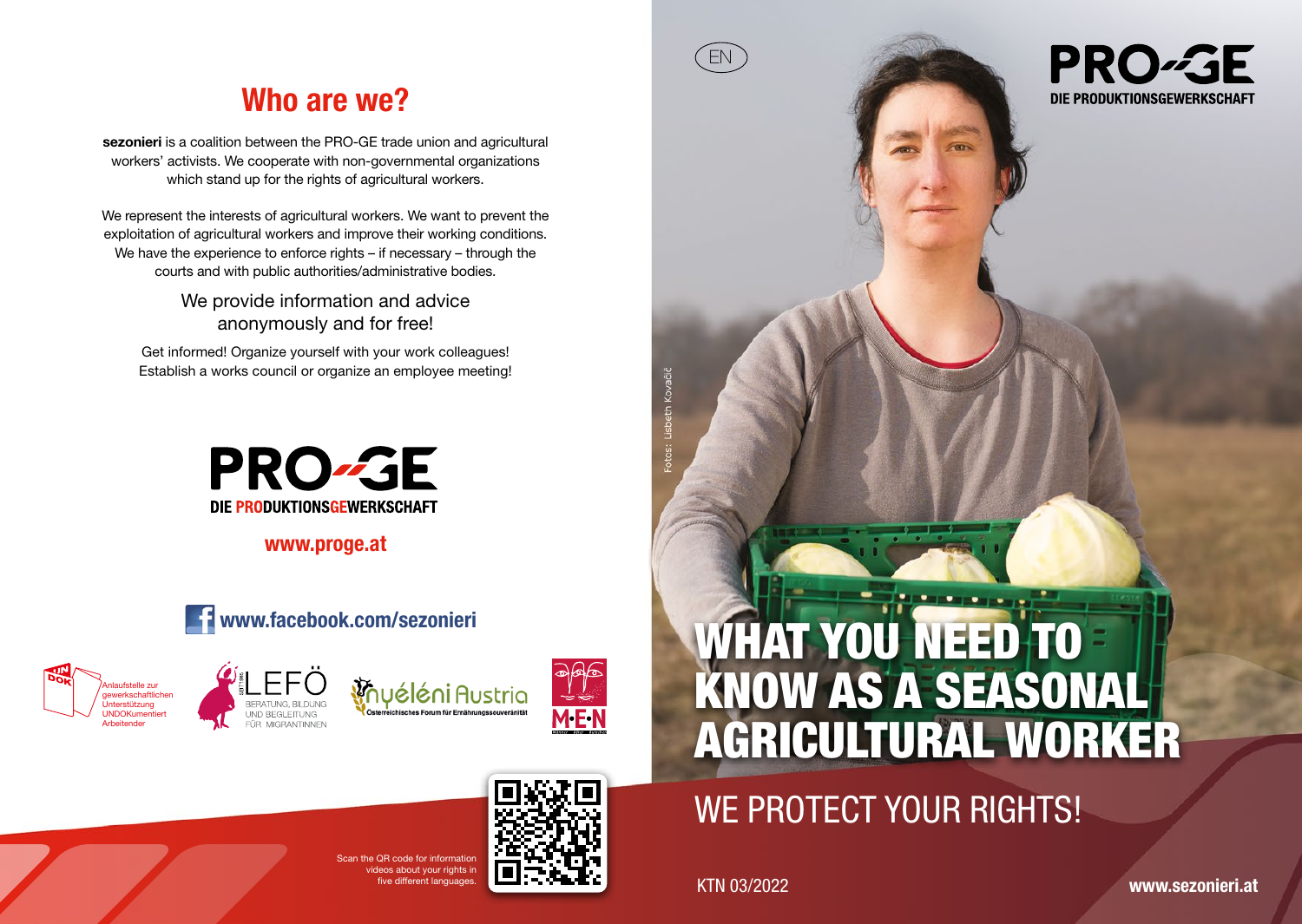## Who are we?

sezonieri is a coalition between the PRO-GE trade union and agricultural workers' activists. We cooperate with non-governmental organizations which stand up for the rights of agricultural workers.

We represent the interests of agricultural workers. We want to prevent the exploitation of agricultural workers and improve their working conditions. We have the experience to enforce rights – if necessary – through the courts and with public authorities/administrative bodies.

> We provide information and advice anonymously and for free!

Get informed! Organize yourself with your work colleagues! Establish a works council or organize an employee meeting!



www.proge.at









# WHAT YOU NEED TO KNOW AS A SEASONAL AGRICULTURAL WORKER

## WE PROTECT YOUR RIGHTS!

ive different languages. KTN 03/2022

EN

**PRO-GE** DIE PRODUKTIONSGEWERKSCHAFT

www.sezonieri.at